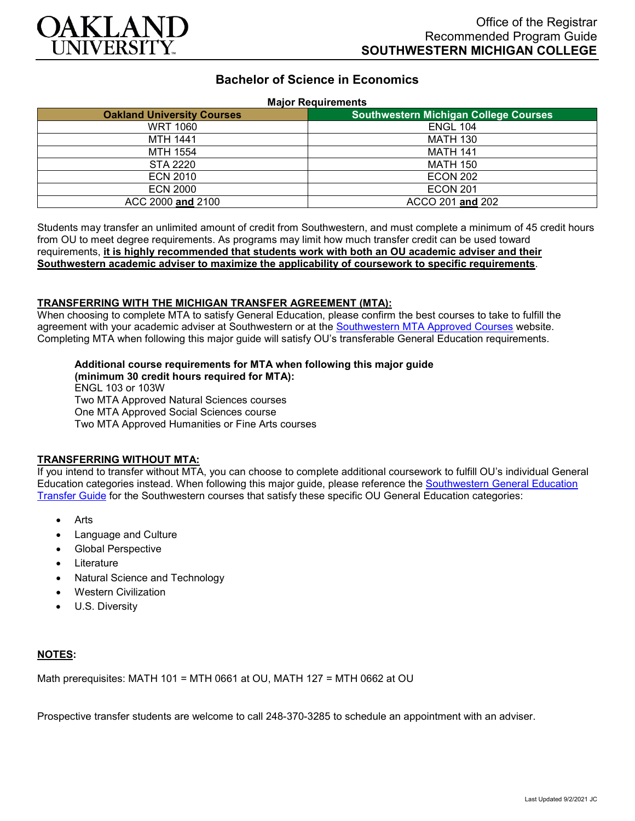

# **Bachelor of Science in Economics**

#### **Major Requirements**

| <b>Oakland University Courses</b> | <b>Southwestern Michigan College Courses</b> |
|-----------------------------------|----------------------------------------------|
| <b>WRT 1060</b>                   | <b>ENGL 104</b>                              |
| <b>MTH 1441</b>                   | <b>MATH 130</b>                              |
| <b>MTH 1554</b>                   | <b>MATH 141</b>                              |
| <b>STA 2220</b>                   | <b>MATH 150</b>                              |
| <b>ECN 2010</b>                   | <b>ECON 202</b>                              |
| <b>ECN 2000</b>                   | <b>ECON 201</b>                              |
| ACC 2000 and 2100                 | ACCO 201 and 202                             |

Students may transfer an unlimited amount of credit from Southwestern, and must complete a minimum of 45 credit hours from OU to meet degree requirements. As programs may limit how much transfer credit can be used toward requirements, **it is highly recommended that students work with both an OU academic adviser and their Southwestern academic adviser to maximize the applicability of coursework to specific requirements**.

### **TRANSFERRING WITH THE MICHIGAN TRANSFER AGREEMENT (MTA):**

When choosing to complete MTA to satisfy General Education, please confirm the best courses to take to fulfill the agreement with your academic adviser at Southwestern or at the [Southwestern MTA Approved Courses](https://www.swmich.edu/media/website/content-assets/documents/mta-ADA.pdf) website. Completing MTA when following this major guide will satisfy OU's transferable General Education requirements.

## **Additional course requirements for MTA when following this major guide**

**(minimum 30 credit hours required for MTA):** ENGL 103 or 103W Two MTA Approved Natural Sciences courses One MTA Approved Social Sciences course Two MTA Approved Humanities or Fine Arts courses

### **TRANSFERRING WITHOUT MTA:**

If you intend to transfer without MTA, you can choose to complete additional coursework to fulfill OU's individual General Education categories instead. When following this major guide, please reference the [Southwestern General Education](https://www.oakland.edu/Assets/Oakland/program-guides/southwestern-michigan-college/university-general-education-requirements/Southwestern%20Gen%20Ed.pdf)  [Transfer Guide](https://www.oakland.edu/Assets/Oakland/program-guides/southwestern-michigan-college/university-general-education-requirements/Southwestern%20Gen%20Ed.pdf) for the Southwestern courses that satisfy these specific OU General Education categories:

- Arts
- Language and Culture
- Global Perspective
- **Literature**
- Natural Science and Technology
- Western Civilization
- U.S. Diversity

### **NOTES:**

Math prerequisites: MATH 101 = MTH 0661 at OU, MATH 127 = MTH 0662 at OU

Prospective transfer students are welcome to call 248-370-3285 to schedule an appointment with an adviser.